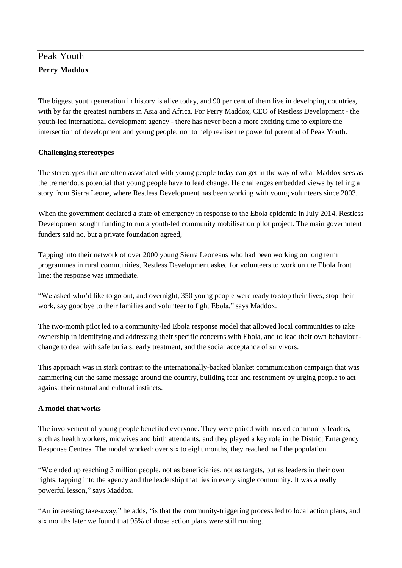# Peak Youth **Perry Maddox**

The biggest youth generation in history is alive today, and 90 per cent of them live in developing countries, with by far the greatest numbers in Asia and Africa. For Perry Maddox, CEO of Restless Development - the youth-led international development agency - there has never been a more exciting time to explore the intersection of development and young people; nor to help realise the powerful potential of Peak Youth.

## **Challenging stereotypes**

The stereotypes that are often associated with young people today can get in the way of what Maddox sees as the tremendous potential that young people have to lead change. He challenges embedded views by telling a story from Sierra Leone, where Restless Development has been working with young volunteers since 2003.

When the government declared a state of emergency in response to the Ebola epidemic in July 2014, Restless Development sought funding to run a youth-led community mobilisation pilot project. The main government funders said no, but a private foundation agreed,

Tapping into their network of over 2000 young Sierra Leoneans who had been working on long term programmes in rural communities, Restless Development asked for volunteers to work on the Ebola front line; the response was immediate.

"We asked who'd like to go out, and overnight, 350 young people were ready to stop their lives, stop their work, say goodbye to their families and volunteer to fight Ebola," says Maddox.

The two-month pilot led to a community-led Ebola response model that allowed local communities to take ownership in identifying and addressing their specific concerns with Ebola, and to lead their own behaviourchange to deal with safe burials, early treatment, and the social acceptance of survivors.

This approach was in stark contrast to the internationally-backed blanket communication campaign that was hammering out the same message around the country, building fear and resentment by urging people to act against their natural and cultural instincts.

# **A model that works**

The involvement of young people benefited everyone. They were paired with trusted community leaders, such as health workers, midwives and birth attendants, and they played a key role in the District Emergency Response Centres. The model worked: over six to eight months, they reached half the population.

"We ended up reaching 3 million people, not as beneficiaries, not as targets, but as leaders in their own rights, tapping into the agency and the leadership that lies in every single community. It was a really powerful lesson," says Maddox.

"An interesting take-away," he adds, "is that the community-triggering process led to local action plans, and six months later we found that 95% of those action plans were still running.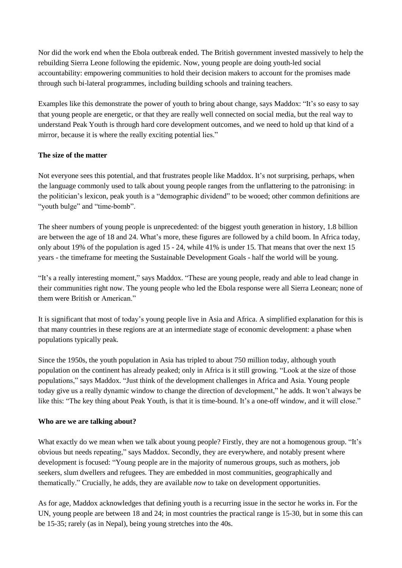Nor did the work end when the Ebola outbreak ended. The British government invested massively to help the rebuilding Sierra Leone following the epidemic. Now, young people are doing youth-led social accountability: empowering communities to hold their decision makers to account for the promises made through such bi-lateral programmes, including building schools and training teachers.

Examples like this demonstrate the power of youth to bring about change, says Maddox: "It's so easy to say that young people are energetic, or that they are really well connected on social media, but the real way to understand Peak Youth is through hard core development outcomes, and we need to hold up that kind of a mirror, because it is where the really exciting potential lies."

## **The size of the matter**

Not everyone sees this potential, and that frustrates people like Maddox. It's not surprising, perhaps, when the language commonly used to talk about young people ranges from the unflattering to the patronising: in the politician's lexicon, peak youth is a "demographic dividend" to be wooed; other common definitions are "youth bulge" and "time-bomb".

The sheer numbers of young people is unprecedented: of the biggest youth generation in history, 1.8 billion are between the age of 18 and 24. What's more, these figures are followed by a child boom. In Africa today, only about 19% of the population is aged 15 - 24, while 41% is under 15. That means that over the next 15 years - the timeframe for meeting the Sustainable Development Goals - half the world will be young.

"It's a really interesting moment," says Maddox. "These are young people, ready and able to lead change in their communities right now. The young people who led the Ebola response were all Sierra Leonean; none of them were British or American."

It is significant that most of today's young people live in Asia and Africa. A simplified explanation for this is that many countries in these regions are at an intermediate stage of economic development: a phase when populations typically peak.

Since the 1950s, the youth population in Asia has tripled to about 750 million today, although youth population on the continent has already peaked; only in Africa is it still growing. "Look at the size of those populations," says Maddox. "Just think of the development challenges in Africa and Asia. Young people today give us a really dynamic window to change the direction of development," he adds. It won't always be like this: "The key thing about Peak Youth, is that it is time-bound. It's a one-off window, and it will close."

# **Who are we are talking about?**

What exactly do we mean when we talk about young people? Firstly, they are not a homogenous group. "It's obvious but needs repeating," says Maddox. Secondly, they are everywhere, and notably present where development is focused: "Young people are in the majority of numerous groups, such as mothers, job seekers, slum dwellers and refugees. They are embedded in most communities, geographically and thematically." Crucially, he adds, they are available *now* to take on development opportunities.

As for age, Maddox acknowledges that defining youth is a recurring issue in the sector he works in. For the UN, young people are between 18 and 24; in most countries the practical range is 15-30, but in some this can be 15-35; rarely (as in Nepal), being young stretches into the 40s.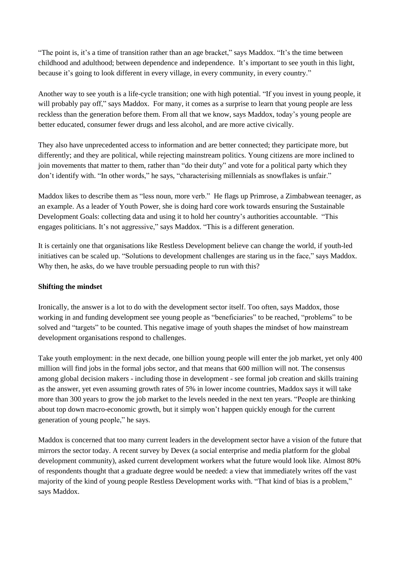"The point is, it's a time of transition rather than an age bracket," says Maddox. "It's the time between childhood and adulthood; between dependence and independence. It's important to see youth in this light, because it's going to look different in every village, in every community, in every country."

Another way to see youth is a life-cycle transition; one with high potential. "If you invest in young people, it will probably pay off," says Maddox. For many, it comes as a surprise to learn that young people are less reckless than the generation before them. From all that we know, says Maddox, today's young people are better educated, consumer fewer drugs and less alcohol, and are more active civically.

They also have unprecedented access to information and are better connected; they participate more, but differently; and they are political, while rejecting mainstream politics. Young citizens are more inclined to join movements that matter to them, rather than "do their duty" and vote for a political party which they don't identify with. "In other words," he says, "characterising millennials as snowflakes is unfair."

Maddox likes to describe them as "less noun, more verb." He flags up Primrose, a Zimbabwean teenager, as an example. As a leader of Youth Power, she is doing hard core work towards ensuring the Sustainable Development Goals: collecting data and using it to hold her country's authorities accountable. "This engages politicians. It's not aggressive," says Maddox. "This is a different generation.

It is certainly one that organisations like Restless Development believe can change the world, if youth-led initiatives can be scaled up. "Solutions to development challenges are staring us in the face," says Maddox. Why then, he asks, do we have trouble persuading people to run with this?

#### **Shifting the mindset**

Ironically, the answer is a lot to do with the development sector itself. Too often, says Maddox, those working in and funding development see young people as "beneficiaries" to be reached, "problems" to be solved and "targets" to be counted. This negative image of youth shapes the mindset of how mainstream development organisations respond to challenges.

Take youth employment: in the next decade, one billion young people will enter the job market, yet only 400 million will find jobs in the formal jobs sector, and that means that 600 million will not. The consensus among global decision makers - including those in development - see formal job creation and skills training as the answer, yet even assuming growth rates of 5% in lower income countries, Maddox says it will take more than 300 years to grow the job market to the levels needed in the next ten years. "People are thinking about top down macro-economic growth, but it simply won't happen quickly enough for the current generation of young people," he says.

Maddox is concerned that too many current leaders in the development sector have a vision of the future that mirrors the sector today. A recent survey by Devex (a social enterprise and media platform for the global development community), asked current development workers what the future would look like. Almost 80% of respondents thought that a graduate degree would be needed: a view that immediately writes off the vast majority of the kind of young people Restless Development works with. "That kind of bias is a problem," says Maddox.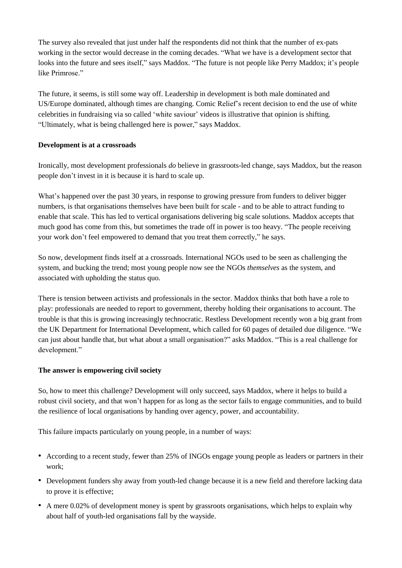The survey also revealed that just under half the respondents did not think that the number of ex-pats working in the sector would decrease in the coming decades. "What we have is a development sector that looks into the future and sees itself," says Maddox. "The future is not people like Perry Maddox; it's people like Primrose"

The future, it seems, is still some way off. Leadership in development is both male dominated and US/Europe dominated, although times are changing. Comic Relief's recent decision to end the use of white celebrities in fundraising via so called 'white saviour' videos is illustrative that opinion is shifting. "Ultimately, what is being challenged here is power," says Maddox.

#### **Development is at a crossroads**

Ironically, most development professionals *do* believe in grassroots-led change, says Maddox, but the reason people don't invest in it is because it is hard to scale up.

What's happened over the past 30 years, in response to growing pressure from funders to deliver bigger numbers, is that organisations themselves have been built for scale - and to be able to attract funding to enable that scale. This has led to vertical organisations delivering big scale solutions. Maddox accepts that much good has come from this, but sometimes the trade off in power is too heavy. "The people receiving your work don't feel empowered to demand that you treat them correctly," he says.

So now, development finds itself at a crossroads. International NGOs used to be seen as challenging the system, and bucking the trend; most young people now see the NGOs *themselves* as the system, and associated with upholding the status quo.

There is tension between activists and professionals in the sector. Maddox thinks that both have a role to play: professionals are needed to report to government, thereby holding their organisations to account. The trouble is that this is growing increasingly technocratic. Restless Development recently won a big grant from the UK Department for International Development, which called for 60 pages of detailed due diligence. "We can just about handle that, but what about a small organisation?" asks Maddox. "This is a real challenge for development."

#### **The answer is empowering civil society**

So, how to meet this challenge? Development will only succeed, says Maddox, where it helps to build a robust civil society, and that won't happen for as long as the sector fails to engage communities, and to build the resilience of local organisations by handing over agency, power, and accountability.

This failure impacts particularly on young people, in a number of ways:

- According to a recent study, fewer than 25% of INGOs engage young people as leaders or partners in their work;
- Development funders shy away from youth-led change because it is a new field and therefore lacking data to prove it is effective;
- A mere 0.02% of development money is spent by grassroots organisations, which helps to explain why about half of youth-led organisations fall by the wayside.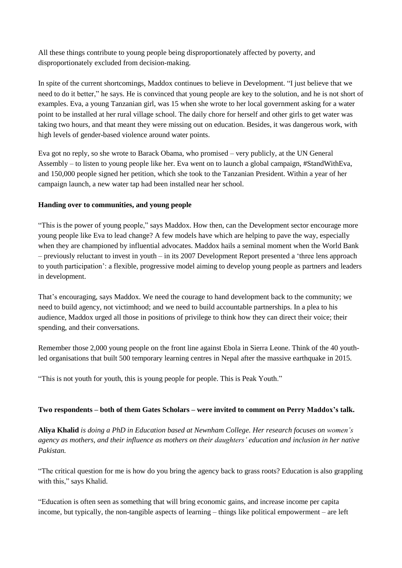All these things contribute to young people being disproportionately affected by poverty, and disproportionately excluded from decision-making.

In spite of the current shortcomings, Maddox continues to believe in Development. "I just believe that we need to do it better," he says. He is convinced that young people are key to the solution, and he is not short of examples. Eva, a young Tanzanian girl, was 15 when she wrote to her local government asking for a water point to be installed at her rural village school. The daily chore for herself and other girls to get water was taking two hours, and that meant they were missing out on education. Besides, it was dangerous work, with high levels of gender-based violence around water points.

Eva got no reply, so she wrote to Barack Obama, who promised – very publicly, at the UN General Assembly – to listen to young people like her. Eva went on to launch a global campaign, #StandWithEva, and 150,000 people signed her petition, which she took to the Tanzanian President. Within a year of her campaign launch, a new water tap had been installed near her school.

## **Handing over to communities, and young people**

"This is the power of young people," says Maddox. How then, can the Development sector encourage more young people like Eva to lead change? A few models have which are helping to pave the way, especially when they are championed by influential advocates. Maddox hails a seminal moment when the World Bank – previously reluctant to invest in youth – in its 2007 Development Report presented a 'three lens approach to youth participation': a flexible, progressive model aiming to develop young people as partners and leaders in development.

That's encouraging, says Maddox. We need the courage to hand development back to the community; we need to build agency, not victimhood; and we need to build accountable partnerships. In a plea to his audience, Maddox urged all those in positions of privilege to think how they can direct their voice; their spending, and their conversations.

Remember those 2,000 young people on the front line against Ebola in Sierra Leone. Think of the 40 youthled organisations that built 500 temporary learning centres in Nepal after the massive earthquake in 2015.

"This is not youth for youth, this is young people for people. This is Peak Youth."

# **Two respondents – both of them Gates Scholars – were invited to comment on Perry Maddox's talk.**

**Aliya Khalid** *is doing a PhD in Education based at Newnham College. Her research focuses on women's* agency as mothers, and their influence as mothers on their daughters' education and inclusion in her native *Pakistan.*

"The critical question for me is how do you bring the agency back to grass roots? Education is also grappling with this," says Khalid.

"Education is often seen as something that will bring economic gains, and increase income per capita income, but typically, the non-tangible aspects of learning – things like political empowerment – are left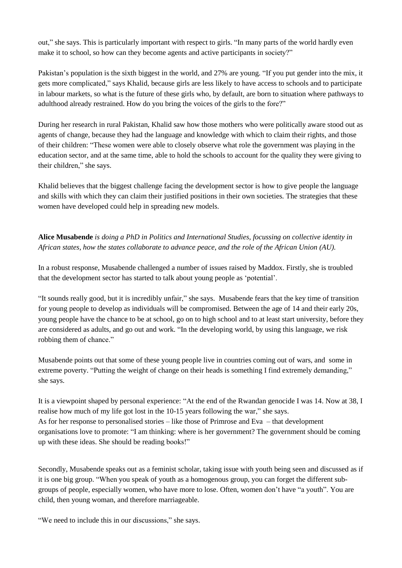out," she says. This is particularly important with respect to girls. "In many parts of the world hardly even make it to school, so how can they become agents and active participants in society?"

Pakistan's population is the sixth biggest in the world, and 27% are young. "If you put gender into the mix, it gets more complicated," says Khalid, because girls are less likely to have access to schools and to participate in labour markets, so what is the future of these girls who, by default, are born to situation where pathways to adulthood already restrained. How do you bring the voices of the girls to the fore?"

During her research in rural Pakistan, Khalid saw how those mothers who were politically aware stood out as agents of change, because they had the language and knowledge with which to claim their rights, and those of their children: "These women were able to closely observe what role the government was playing in the education sector, and at the same time, able to hold the schools to account for the quality they were giving to their children," she says.

Khalid believes that the biggest challenge facing the development sector is how to give people the language and skills with which they can claim their justified positions in their own societies. The strategies that these women have developed could help in spreading new models.

# **Alice Musabende** *is doing a PhD in Politics and International Studies, focussing on collective identity in African states, how the states collaborate to advance peace, and the role of the African Union (AU).*

In a robust response, Musabende challenged a number of issues raised by Maddox. Firstly, she is troubled that the development sector has started to talk about young people as 'potential'.

"It sounds really good, but it is incredibly unfair," she says. Musabende fears that the key time of transition for young people to develop as individuals will be compromised. Between the age of 14 and their early 20s, young people have the chance to be at school, go on to high school and to at least start university, before they are considered as adults, and go out and work. "In the developing world, by using this language, we risk robbing them of chance."

Musabende points out that some of these young people live in countries coming out of wars, and some in extreme poverty. "Putting the weight of change on their heads is something I find extremely demanding," she says.

It is a viewpoint shaped by personal experience: "At the end of the Rwandan genocide I was 14. Now at 38, I realise how much of my life got lost in the 10-15 years following the war," she says. As for her response to personalised stories – like those of Primrose and Eva – that development organisations love to promote: "I am thinking: where is her government? The government should be coming up with these ideas. She should be reading books!"

Secondly, Musabende speaks out as a feminist scholar, taking issue with youth being seen and discussed as if it is one big group. "When you speak of youth as a homogenous group, you can forget the different subgroups of people, especially women, who have more to lose. Often, women don't have "a youth". You are child, then young woman, and therefore marriageable.

"We need to include this in our discussions," she says.